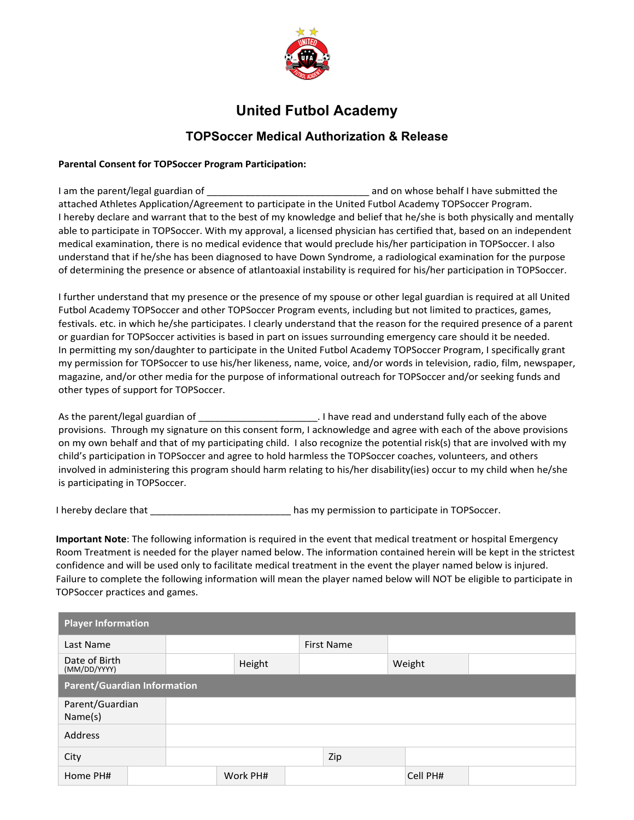

## **United Futbol Academy**

## **TOPSoccer Medical Authorization & Release**

## **Parental Consent for TOPSoccer Program Participation:**

I am the parent/legal guardian of \_\_\_\_\_\_\_\_\_\_\_\_\_\_\_\_\_\_\_\_\_\_\_\_\_\_\_\_\_\_ and on whose behalf I have submitted the attached Athletes Application/Agreement to participate in the United Futbol Academy TOPSoccer Program. I hereby declare and warrant that to the best of my knowledge and belief that he/she is both physically and mentally able to participate in TOPSoccer. With my approval, a licensed physician has certified that, based on an independent medical examination, there is no medical evidence that would preclude his/her participation in TOPSoccer. I also understand that if he/she has been diagnosed to have Down Syndrome, a radiological examination for the purpose of determining the presence or absence of atlantoaxial instability is required for his/her participation in TOPSoccer.

I further understand that my presence or the presence of my spouse or other legal guardian is required at all United Futbol Academy TOPSoccer and other TOPSoccer Program events, including but not limited to practices, games, festivals. etc. in which he/she participates. I clearly understand that the reason for the required presence of a parent or guardian for TOPSoccer activities is based in part on issues surrounding emergency care should it be needed. In permitting my son/daughter to participate in the United Futbol Academy TOPSoccer Program, I specifically grant my permission for TOPSoccer to use his/her likeness, name, voice, and/or words in television, radio, film, newspaper, magazine, and/or other media for the purpose of informational outreach for TOPSoccer and/or seeking funds and other types of support for TOPSoccer.

As the parent/legal guardian of  $\Box$  . I have read and understand fully each of the above provisions. Through my signature on this consent form, I acknowledge and agree with each of the above provisions on my own behalf and that of my participating child. I also recognize the potential risk(s) that are involved with my child's participation in TOPSoccer and agree to hold harmless the TOPSoccer coaches, volunteers, and others involved in administering this program should harm relating to his/her disability(ies) occur to my child when he/she is participating in TOPSoccer.

I hereby declare that \_\_\_\_\_\_\_\_\_\_\_\_\_\_\_\_\_\_\_\_\_\_\_\_\_\_ has my permission to participate in TOPSoccer.

**Important Note**: The following information is required in the event that medical treatment or hospital Emergency Room Treatment is needed for the player named below. The information contained herein will be kept in the strictest confidence and will be used only to facilitate medical treatment in the event the player named below is injured. Failure to complete the following information will mean the player named below will NOT be eligible to participate in TOPSoccer practices and games.

| <b>Player Information</b>          |  |  |          |  |                   |  |          |  |  |  |
|------------------------------------|--|--|----------|--|-------------------|--|----------|--|--|--|
| Last Name                          |  |  |          |  | <b>First Name</b> |  |          |  |  |  |
| Date of Birth<br>(MM/DD/YYYY)      |  |  | Height   |  |                   |  | Weight   |  |  |  |
| <b>Parent/Guardian Information</b> |  |  |          |  |                   |  |          |  |  |  |
| Parent/Guardian<br>Name(s)         |  |  |          |  |                   |  |          |  |  |  |
| <b>Address</b>                     |  |  |          |  |                   |  |          |  |  |  |
| City                               |  |  |          |  | Zip               |  |          |  |  |  |
| Home PH#                           |  |  | Work PH# |  |                   |  | Cell PH# |  |  |  |